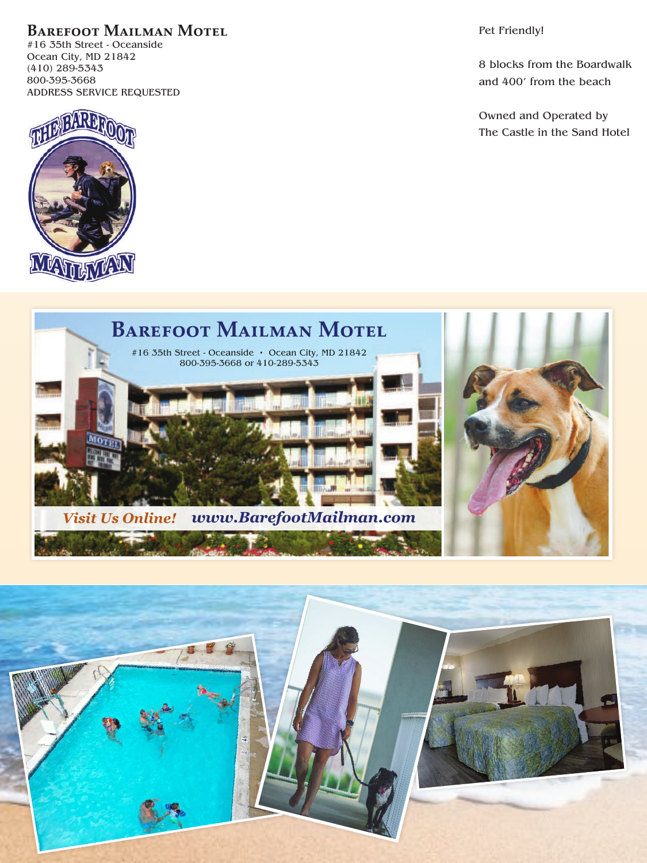**Barefoot Mailman Motel**

#16 35th Street - Oceanside Ocean City, MD 21842 (410) 289-5343 800-395-3668 ADDRESS SERVICE REQUESTED



Pet Friendly!

8 blocks from the Boardwalk and 400' from the beach

Owned and Operated by The Castle in the Sand Hotel